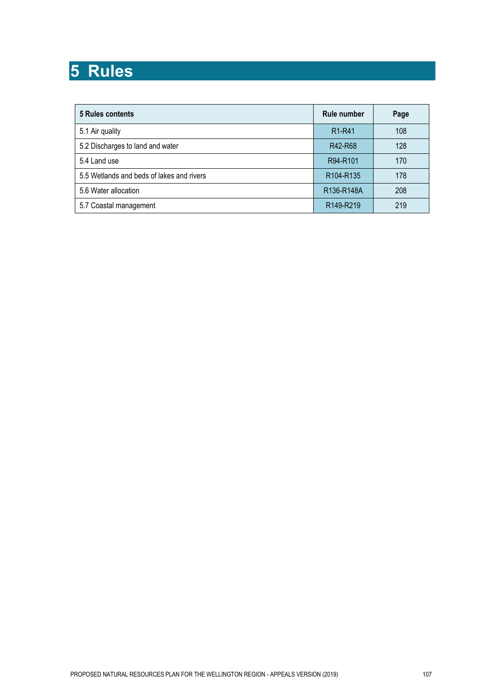# **5 Rules**

| 5 Rules contents                          | <b>Rule number</b>                   | Page |
|-------------------------------------------|--------------------------------------|------|
| 5.1 Air quality                           | R <sub>1</sub> -R <sub>41</sub>      | 108  |
| 5.2 Discharges to land and water          | R42-R68                              | 128  |
| 5.4 Land use                              | R94-R101                             | 170  |
| 5.5 Wetlands and beds of lakes and rivers | R <sub>104</sub> -R <sub>135</sub>   | 178  |
| 5.6 Water allocation                      | R <sub>136</sub> -R <sub>148</sub> A | 208  |
| 5.7 Coastal management                    | R149-R219                            | 219  |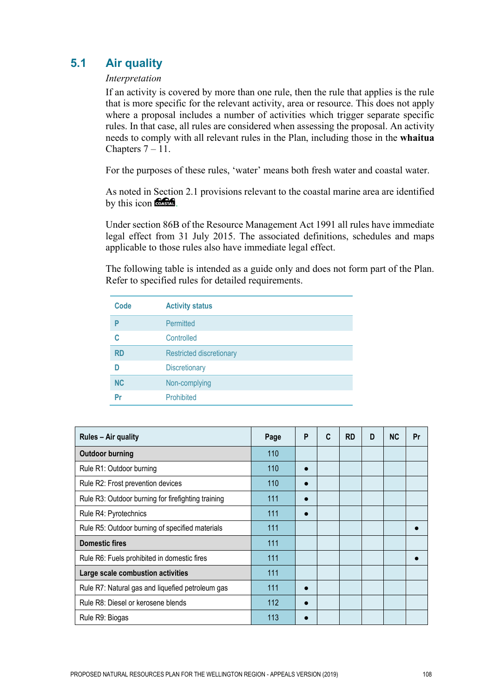# **5.1 Air quality**

### *Interpretation*

If an activity is covered by more than one rule, then the rule that applies is the rule that is more specific for the relevant activity, area or resource. This does not apply where a proposal includes a number of activities which trigger separate specific rules. In that case, all rules are considered when assessing the proposal. An activity needs to comply with all relevant rules in the Plan, including those in the **whaitua** Chapters  $7 - 11$ .

For the purposes of these rules, 'water' means both fresh water and coastal water.

As noted in Section 2.1 provisions relevant to the coastal marine area are identified by this icon **CASHAT**.

Under section 86B of the Resource Management Act 1991 all rules have immediate legal effect from 31 July 2015. The associated definitions, schedules and maps applicable to those rules also have immediate legal effect.

The following table is intended as a guide only and does not form part of the Plan. Refer to specified rules for detailed requirements.

| Code      | <b>Activity status</b>          |
|-----------|---------------------------------|
| P         | <b>Permitted</b>                |
| C         | Controlled                      |
| <b>RD</b> | <b>Restricted discretionary</b> |
| n         | <b>Discretionary</b>            |
| <b>NC</b> | Non-complying                   |
| Pr        | Prohibited                      |

| <b>Rules – Air quality</b>                         | Page | P | C | <b>RD</b> | D | <b>NC</b> | Pr |
|----------------------------------------------------|------|---|---|-----------|---|-----------|----|
| <b>Outdoor burning</b>                             | 110  |   |   |           |   |           |    |
| Rule R1: Outdoor burning                           | 110  |   |   |           |   |           |    |
| Rule R2: Frost prevention devices                  | 110  |   |   |           |   |           |    |
| Rule R3: Outdoor burning for firefighting training | 111  |   |   |           |   |           |    |
| Rule R4: Pyrotechnics                              | 111  |   |   |           |   |           |    |
| Rule R5: Outdoor burning of specified materials    | 111  |   |   |           |   |           |    |
| <b>Domestic fires</b>                              | 111  |   |   |           |   |           |    |
| Rule R6: Fuels prohibited in domestic fires        | 111  |   |   |           |   |           |    |
| Large scale combustion activities                  | 111  |   |   |           |   |           |    |
| Rule R7: Natural gas and liquefied petroleum gas   | 111  |   |   |           |   |           |    |
| Rule R8: Diesel or kerosene blends                 | 112  |   |   |           |   |           |    |
| Rule R9: Biogas                                    | 113  |   |   |           |   |           |    |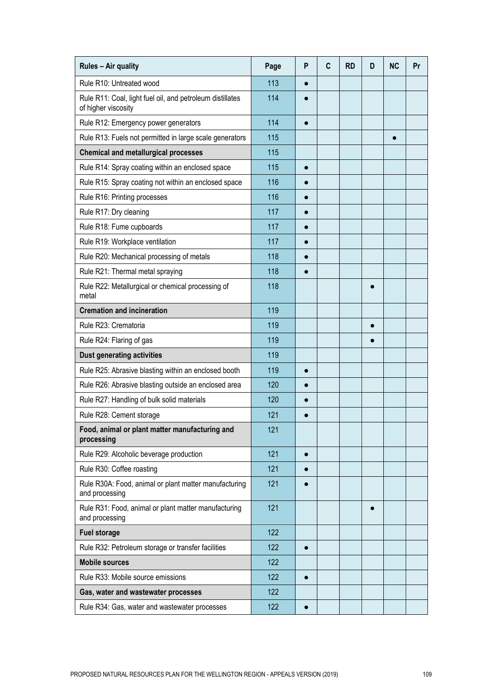| Rules - Air quality                                                              | Page | P         | C | <b>RD</b> | D         | <b>NC</b> | Pr |
|----------------------------------------------------------------------------------|------|-----------|---|-----------|-----------|-----------|----|
| Rule R10: Untreated wood                                                         | 113  | $\bullet$ |   |           |           |           |    |
| Rule R11: Coal, light fuel oil, and petroleum distillates<br>of higher viscosity | 114  |           |   |           |           |           |    |
| Rule R12: Emergency power generators                                             | 114  | $\bullet$ |   |           |           |           |    |
| Rule R13: Fuels not permitted in large scale generators                          | 115  |           |   |           |           | $\bullet$ |    |
| <b>Chemical and metallurgical processes</b>                                      | 115  |           |   |           |           |           |    |
| Rule R14: Spray coating within an enclosed space                                 | 115  | $\bullet$ |   |           |           |           |    |
| Rule R15: Spray coating not within an enclosed space                             | 116  | $\bullet$ |   |           |           |           |    |
| Rule R16: Printing processes                                                     | 116  | $\bullet$ |   |           |           |           |    |
| Rule R17: Dry cleaning                                                           | 117  | $\bullet$ |   |           |           |           |    |
| Rule R18: Fume cupboards                                                         | 117  | $\bullet$ |   |           |           |           |    |
| Rule R19: Workplace ventilation                                                  | 117  | $\bullet$ |   |           |           |           |    |
| Rule R20: Mechanical processing of metals                                        | 118  | $\bullet$ |   |           |           |           |    |
| Rule R21: Thermal metal spraying                                                 | 118  | $\bullet$ |   |           |           |           |    |
| Rule R22: Metallurgical or chemical processing of<br>metal                       | 118  |           |   |           | $\bullet$ |           |    |
| <b>Cremation and incineration</b>                                                | 119  |           |   |           |           |           |    |
| Rule R23: Crematoria                                                             | 119  |           |   |           | $\bullet$ |           |    |
| Rule R24: Flaring of gas                                                         | 119  |           |   |           |           |           |    |
| <b>Dust generating activities</b>                                                | 119  |           |   |           |           |           |    |
| Rule R25: Abrasive blasting within an enclosed booth                             | 119  | $\bullet$ |   |           |           |           |    |
| Rule R26: Abrasive blasting outside an enclosed area                             | 120  | $\bullet$ |   |           |           |           |    |
| Rule R27: Handling of bulk solid materials                                       | 120  |           |   |           |           |           |    |
| Rule R28: Cement storage                                                         | 121  |           |   |           |           |           |    |
| Food, animal or plant matter manufacturing and<br>processing                     | 121  |           |   |           |           |           |    |
| Rule R29: Alcoholic beverage production                                          | 121  | $\bullet$ |   |           |           |           |    |
| Rule R30: Coffee roasting                                                        | 121  | $\bullet$ |   |           |           |           |    |
| Rule R30A: Food, animal or plant matter manufacturing<br>and processing          | 121  |           |   |           |           |           |    |
| Rule R31: Food, animal or plant matter manufacturing<br>and processing           | 121  |           |   |           | 0         |           |    |
| <b>Fuel storage</b>                                                              | 122  |           |   |           |           |           |    |
| Rule R32: Petroleum storage or transfer facilities                               | 122  | $\bullet$ |   |           |           |           |    |
| <b>Mobile sources</b>                                                            | 122  |           |   |           |           |           |    |
| Rule R33: Mobile source emissions                                                | 122  | $\bullet$ |   |           |           |           |    |
| Gas, water and wastewater processes                                              | 122  |           |   |           |           |           |    |
| Rule R34: Gas, water and wastewater processes                                    | 122  | $\bullet$ |   |           |           |           |    |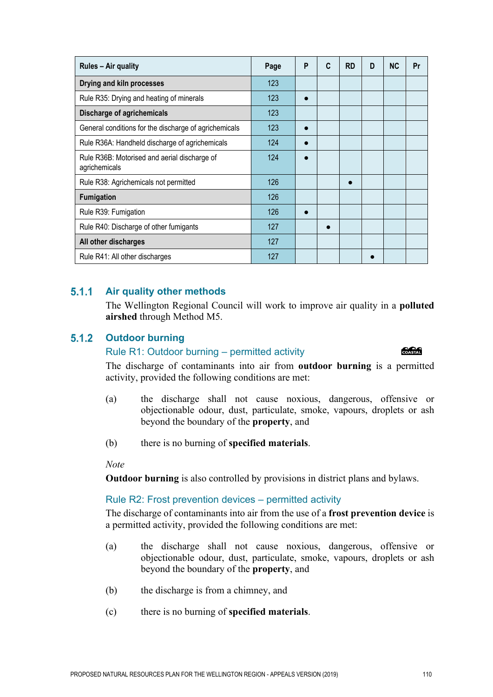| PROPOSED NATURAL RESOURCES PLAN FOR THE WELLINGTON REGION - APPEALS VERSION (2019) | 110 |
|------------------------------------------------------------------------------------|-----|

| Page | P | C | <b>RD</b> | D | <b>NC</b> | Pr |
|------|---|---|-----------|---|-----------|----|
| 123  |   |   |           |   |           |    |
| 123  |   |   |           |   |           |    |
| 123  |   |   |           |   |           |    |
| 123  |   |   |           |   |           |    |
| 124  |   |   |           |   |           |    |
| 124  |   |   |           |   |           |    |
| 126  |   |   |           |   |           |    |
| 126  |   |   |           |   |           |    |
| 126  |   |   |           |   |           |    |
| 127  |   |   |           |   |           |    |
| 127  |   |   |           |   |           |    |
| 127  |   |   |           |   |           |    |
|      |   |   |           |   |           |    |

#### $5.1.1$ **Air quality other methods**

The Wellington Regional Council will work to improve air quality in a **polluted airshed** through Method M5.

#### $5.1.2$ **Outdoor burning**

### Rule R1: Outdoor burning – permitted activity

The discharge of contaminants into air from **outdoor burning** is a permitted activity, provided the following conditions are met:

- (a) the discharge shall not cause noxious, dangerous, offensive or objectionable odour, dust, particulate, smoke, vapours, droplets or ash beyond the boundary of the **property**, and
- (b) there is no burning of **specified materials**.

*Note* 

**Outdoor burning** is also controlled by provisions in district plans and bylaws.

# Rule R2: Frost prevention devices – permitted activity

The discharge of contaminants into air from the use of a **frost prevention device** is a permitted activity, provided the following conditions are met:

- (a) the discharge shall not cause noxious, dangerous, offensive or objectionable odour, dust, particulate, smoke, vapours, droplets or ash beyond the boundary of the **property**, and
- (b) the discharge is from a chimney, and

(c) there is no burning of **specified materials**.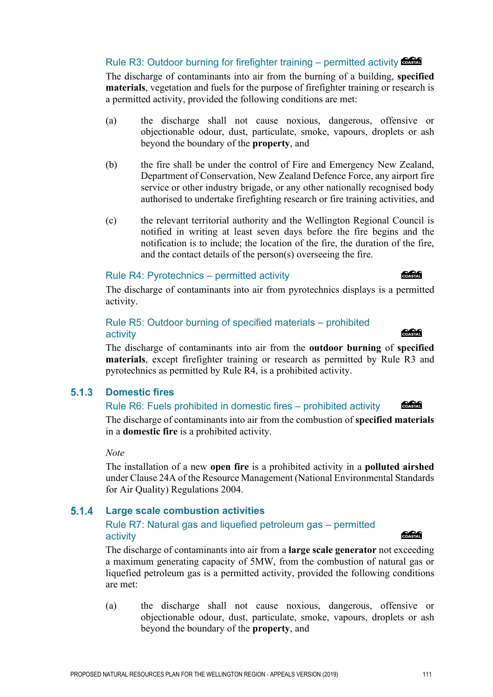### Rule R3: Outdoor burning for firefighter training – permitted activity  $\frac{1}{2}$

The discharge of contaminants into air from the burning of a building, **specified materials**, vegetation and fuels for the purpose of firefighter training or research is a permitted activity, provided the following conditions are met:

- (a) the discharge shall not cause noxious, dangerous, offensive or objectionable odour, dust, particulate, smoke, vapours, droplets or ash beyond the boundary of the **property**, and
- (b) the fire shall be under the control of Fire and Emergency New Zealand, Department of Conservation, New Zealand Defence Force, any airport fire service or other industry brigade, or any other nationally recognised body authorised to undertake firefighting research or fire training activities, and
- (c) the relevant territorial authority and the Wellington Regional Council is notified in writing at least seven days before the fire begins and the notification is to include; the location of the fire, the duration of the fire, and the contact details of the person(s) overseeing the fire.

### Rule R4: Pyrotechnics – permitted activity

The discharge of contaminants into air from pyrotechnics displays is a permitted activity.

### Rule R5: Outdoor burning of specified materials – prohibited activity

The discharge of contaminants into air from the **outdoor burning** of **specified materials**, except firefighter training or research as permitted by Rule R3 and pyrotechnics as permitted by Rule R4, is a prohibited activity.

#### $5.1.3$ **Domestic fires**

#### COASTAL Rule R6: Fuels prohibited in domestic fires – prohibited activity

The discharge of contaminants into air from the combustion of **specified materials** in a **domestic fire** is a prohibited activity.

*Note* 

The installation of a new **open fire** is a prohibited activity in a **polluted airshed**  under Clause 24A of the Resource Management (National Environmental Standards for Air Quality) Regulations 2004.

#### $5.1.4$ **Large scale combustion activities**

### Rule R7: Natural gas and liquefied petroleum gas – permitted activity and the contract of the contract of the contract of the contract of the contract of the contract of the contract of the contract of the contract of the contract of the contract of the contract of the contract of t

The discharge of contaminants into air from a **large scale generator** not exceeding a maximum generating capacity of 5MW, from the combustion of natural gas or liquefied petroleum gas is a permitted activity, provided the following conditions are met:

(a) the discharge shall not cause noxious, dangerous, offensive or objectionable odour, dust, particulate, smoke, vapours, droplets or ash beyond the boundary of the **property**, and

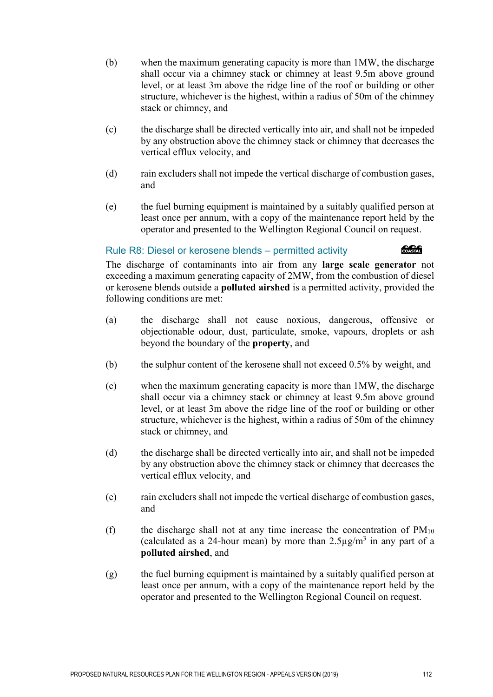- (b) when the maximum generating capacity is more than 1MW, the discharge shall occur via a chimney stack or chimney at least 9.5m above ground level, or at least 3m above the ridge line of the roof or building or other structure, whichever is the highest, within a radius of 50m of the chimney stack or chimney, and
- (c) the discharge shall be directed vertically into air, and shall not be impeded by any obstruction above the chimney stack or chimney that decreases the vertical efflux velocity, and
- (d) rain excluders shall not impede the vertical discharge of combustion gases, and
- (e) the fuel burning equipment is maintained by a suitably qualified person at least once per annum, with a copy of the maintenance report held by the operator and presented to the Wellington Regional Council on request.

### Rule R8: Diesel or kerosene blends – permitted activity

COASTAL

The discharge of contaminants into air from any **large scale generator** not exceeding a maximum generating capacity of 2MW, from the combustion of diesel or kerosene blends outside a **polluted airshed** is a permitted activity, provided the following conditions are met:

- (a) the discharge shall not cause noxious, dangerous, offensive or objectionable odour, dust, particulate, smoke, vapours, droplets or ash beyond the boundary of the **property**, and
- (b) the sulphur content of the kerosene shall not exceed 0.5% by weight, and
- (c) when the maximum generating capacity is more than 1MW, the discharge shall occur via a chimney stack or chimney at least 9.5m above ground level, or at least 3m above the ridge line of the roof or building or other structure, whichever is the highest, within a radius of 50m of the chimney stack or chimney, and
- (d) the discharge shall be directed vertically into air, and shall not be impeded by any obstruction above the chimney stack or chimney that decreases the vertical efflux velocity, and
- (e) rain excluders shall not impede the vertical discharge of combustion gases, and
- (f) the discharge shall not at any time increase the concentration of  $PM_{10}$ (calculated as a 24-hour mean) by more than  $2.5\mu g/m^3$  in any part of a **polluted airshed**, and
- (g) the fuel burning equipment is maintained by a suitably qualified person at least once per annum, with a copy of the maintenance report held by the operator and presented to the Wellington Regional Council on request.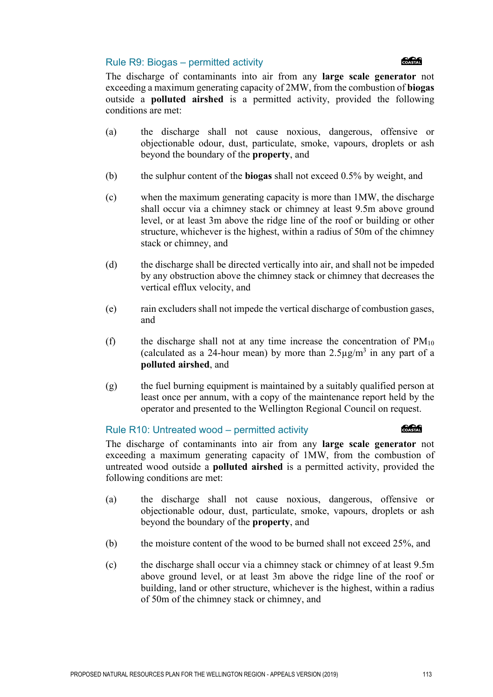### Rule R9: Biogas – permitted activity



The discharge of contaminants into air from any **large scale generator** not exceeding a maximum generating capacity of 2MW, from the combustion of **biogas** outside a **polluted airshed** is a permitted activity, provided the following conditions are met:

- (a) the discharge shall not cause noxious, dangerous, offensive or objectionable odour, dust, particulate, smoke, vapours, droplets or ash beyond the boundary of the **property**, and
- (b) the sulphur content of the **biogas** shall not exceed 0.5% by weight, and
- (c) when the maximum generating capacity is more than 1MW, the discharge shall occur via a chimney stack or chimney at least 9.5m above ground level, or at least 3m above the ridge line of the roof or building or other structure, whichever is the highest, within a radius of 50m of the chimney stack or chimney, and
- (d) the discharge shall be directed vertically into air, and shall not be impeded by any obstruction above the chimney stack or chimney that decreases the vertical efflux velocity, and
- (e) rain excluders shall not impede the vertical discharge of combustion gases, and
- (f) the discharge shall not at any time increase the concentration of  $PM_{10}$ (calculated as a 24-hour mean) by more than  $2.5\mu\text{g/m}^3$  in any part of a **polluted airshed**, and
- (g) the fuel burning equipment is maintained by a suitably qualified person at least once per annum, with a copy of the maintenance report held by the operator and presented to the Wellington Regional Council on request.

### Rule R10: Untreated wood – permitted activity

The discharge of contaminants into air from any **large scale generator** not exceeding a maximum generating capacity of 1MW, from the combustion of untreated wood outside a **polluted airshed** is a permitted activity, provided the following conditions are met:

- (a) the discharge shall not cause noxious, dangerous, offensive or objectionable odour, dust, particulate, smoke, vapours, droplets or ash beyond the boundary of the **property**, and
- (b) the moisture content of the wood to be burned shall not exceed 25%, and
- (c) the discharge shall occur via a chimney stack or chimney of at least 9.5m above ground level, or at least 3m above the ridge line of the roof or building, land or other structure, whichever is the highest, within a radius of 50m of the chimney stack or chimney, and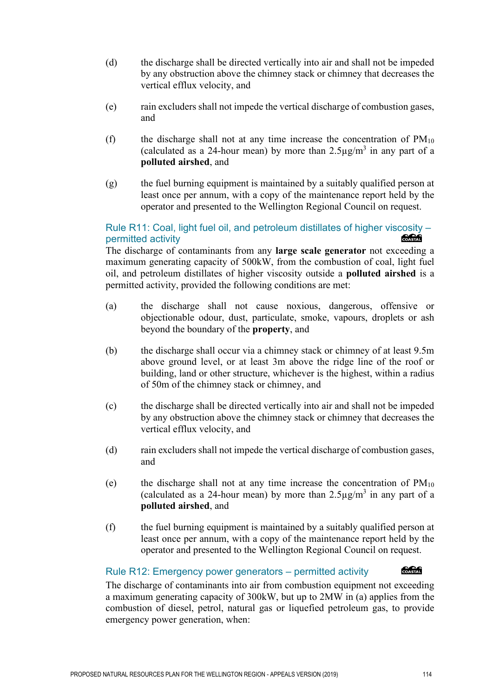- (d) the discharge shall be directed vertically into air and shall not be impeded by any obstruction above the chimney stack or chimney that decreases the vertical efflux velocity, and
- (e) rain excluders shall not impede the vertical discharge of combustion gases, and
- (f) the discharge shall not at any time increase the concentration of  $PM_{10}$ (calculated as a 24-hour mean) by more than  $2.5\mu g/m^3$  in any part of a **polluted airshed**, and
- (g) the fuel burning equipment is maintained by a suitably qualified person at least once per annum, with a copy of the maintenance report held by the operator and presented to the Wellington Regional Council on request.

### Rule R11: Coal, light fuel oil, and petroleum distillates of higher viscosity – COASTAL permitted activity

The discharge of contaminants from any **large scale generator** not exceeding a maximum generating capacity of 500kW, from the combustion of coal, light fuel oil, and petroleum distillates of higher viscosity outside a **polluted airshed** is a permitted activity, provided the following conditions are met:

- (a) the discharge shall not cause noxious, dangerous, offensive or objectionable odour, dust, particulate, smoke, vapours, droplets or ash beyond the boundary of the **property**, and
- (b) the discharge shall occur via a chimney stack or chimney of at least 9.5m above ground level, or at least 3m above the ridge line of the roof or building, land or other structure, whichever is the highest, within a radius of 50m of the chimney stack or chimney, and
- (c) the discharge shall be directed vertically into air and shall not be impeded by any obstruction above the chimney stack or chimney that decreases the vertical efflux velocity, and
- (d) rain excluders shall not impede the vertical discharge of combustion gases, and
- (e) the discharge shall not at any time increase the concentration of  $PM_{10}$ (calculated as a 24-hour mean) by more than  $2.5\mu g/m^3$  in any part of a **polluted airshed**, and
- (f) the fuel burning equipment is maintained by a suitably qualified person at least once per annum, with a copy of the maintenance report held by the operator and presented to the Wellington Regional Council on request.

### Rule R12: Emergency power generators – permitted activity

The discharge of contaminants into air from combustion equipment not exceeding a maximum generating capacity of 300kW, but up to 2MW in (a) applies from the combustion of diesel, petrol, natural gas or liquefied petroleum gas, to provide emergency power generation, when: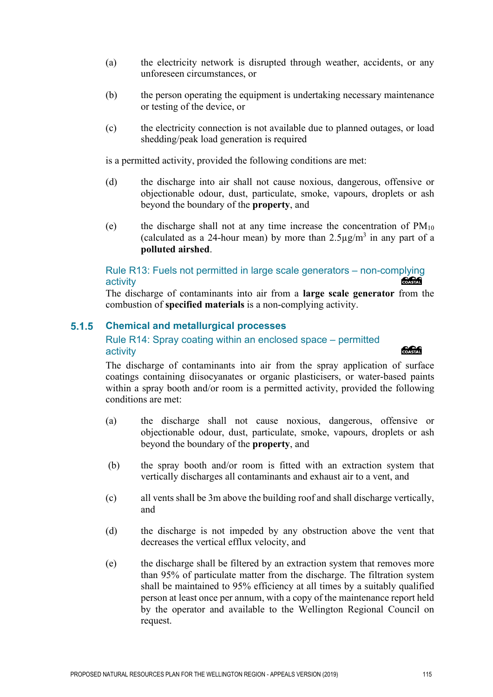- (a) the electricity network is disrupted through weather, accidents, or any unforeseen circumstances, or
- (b) the person operating the equipment is undertaking necessary maintenance or testing of the device, or
- (c) the electricity connection is not available due to planned outages, or load shedding/peak load generation is required

is a permitted activity, provided the following conditions are met:

- (d) the discharge into air shall not cause noxious, dangerous, offensive or objectionable odour, dust, particulate, smoke, vapours, droplets or ash beyond the boundary of the **property**, and
- (e) the discharge shall not at any time increase the concentration of  $PM_{10}$ (calculated as a 24-hour mean) by more than  $2.5\mu g/m^3$  in any part of a **polluted airshed**.

### Rule R13: Fuels not permitted in large scale generators – non-complying<br>activity activity

The discharge of contaminants into air from a **large scale generator** from the combustion of **specified materials** is a non-complying activity.

#### $5.1.5$ **Chemical and metallurgical processes**

### Rule R14: Spray coating within an enclosed space – permitted activity

The discharge of contaminants into air from the spray application of surface coatings containing diisocyanates or organic plasticisers, or water-based paints within a spray booth and/or room is a permitted activity, provided the following conditions are met:

- (a) the discharge shall not cause noxious, dangerous, offensive or objectionable odour, dust, particulate, smoke, vapours, droplets or ash beyond the boundary of the **property**, and
- (b) the spray booth and/or room is fitted with an extraction system that vertically discharges all contaminants and exhaust air to a vent, and
- (c) all vents shall be 3m above the building roof and shall discharge vertically, and
- (d) the discharge is not impeded by any obstruction above the vent that decreases the vertical efflux velocity, and
- (e) the discharge shall be filtered by an extraction system that removes more than 95% of particulate matter from the discharge. The filtration system shall be maintained to 95% efficiency at all times by a suitably qualified person at least once per annum, with a copy of the maintenance report held by the operator and available to the Wellington Regional Council on request.

**Concrete**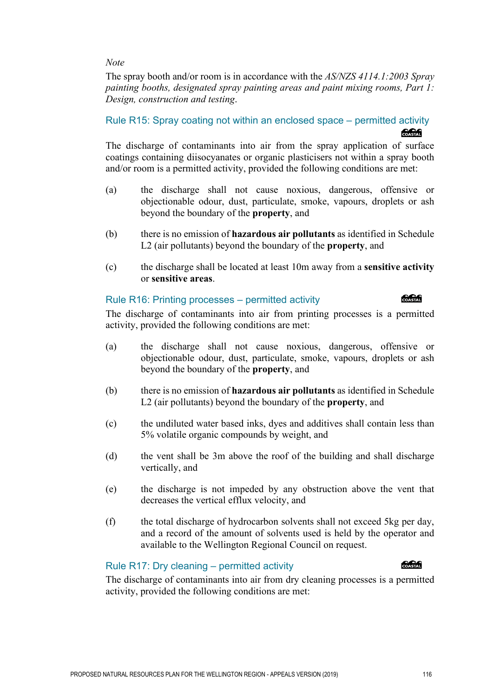The spray booth and/or room is in accordance with the *AS/NZS 4114.1:2003 Spray painting booths, designated spray painting areas and paint mixing rooms, Part 1: Design, construction and testing*.

### Rule R15: Spray coating not within an enclosed space – permitted activity **COASTAR**

The discharge of contaminants into air from the spray application of surface coatings containing diisocyanates or organic plasticisers not within a spray booth and/or room is a permitted activity, provided the following conditions are met:

- (a) the discharge shall not cause noxious, dangerous, offensive or objectionable odour, dust, particulate, smoke, vapours, droplets or ash beyond the boundary of the **property**, and
- (b) there is no emission of **hazardous air pollutants** as identified in Schedule L2 (air pollutants) beyond the boundary of the **property**, and
- (c) the discharge shall be located at least 10m away from a **sensitive activity** or **sensitive areas**.

### Rule R16: Printing processes – permitted activity

**Concrete** 

The discharge of contaminants into air from printing processes is a permitted activity, provided the following conditions are met:

- (a) the discharge shall not cause noxious, dangerous, offensive or objectionable odour, dust, particulate, smoke, vapours, droplets or ash beyond the boundary of the **property**, and
- (b) there is no emission of **hazardous air pollutants** as identified in Schedule L2 (air pollutants) beyond the boundary of the **property**, and
- (c) the undiluted water based inks, dyes and additives shall contain less than 5% volatile organic compounds by weight, and
- (d) the vent shall be 3m above the roof of the building and shall discharge vertically, and
- (e) the discharge is not impeded by any obstruction above the vent that decreases the vertical efflux velocity, and
- (f) the total discharge of hydrocarbon solvents shall not exceed 5kg per day, and a record of the amount of solvents used is held by the operator and available to the Wellington Regional Council on request.

### Rule R17: Dry cleaning – permitted activity

COASTAL

The discharge of contaminants into air from dry cleaning processes is a permitted activity, provided the following conditions are met: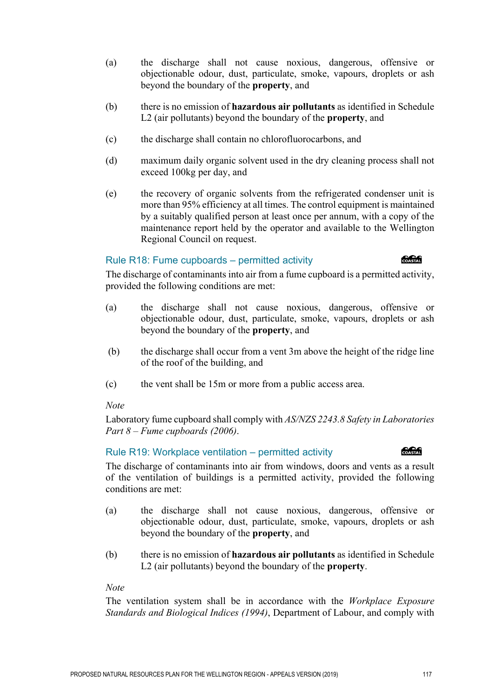objectionable odour, dust, particulate, smoke, vapours, droplets or ash beyond the boundary of the **property**, and

(a) the discharge shall not cause noxious, dangerous, offensive or

- (b) there is no emission of **hazardous air pollutants** as identified in Schedule L2 (air pollutants) beyond the boundary of the **property**, and
- (c) the discharge shall contain no chlorofluorocarbons, and
- (d) maximum daily organic solvent used in the dry cleaning process shall not exceed 100kg per day, and
- (e) the recovery of organic solvents from the refrigerated condenser unit is more than 95% efficiency at all times. The control equipment is maintained by a suitably qualified person at least once per annum, with a copy of the maintenance report held by the operator and available to the Wellington Regional Council on request.

### Rule R18: Fume cupboards – permitted activity

### **ang Common**

The discharge of contaminants into air from a fume cupboard is a permitted activity, provided the following conditions are met:

- (a) the discharge shall not cause noxious, dangerous, offensive or objectionable odour, dust, particulate, smoke, vapours, droplets or ash beyond the boundary of the **property**, and
- (b) the discharge shall occur from a vent 3m above the height of the ridge line of the roof of the building, and
- (c) the vent shall be 15m or more from a public access area.

### *Note*

Laboratory fume cupboard shall comply with *AS/NZS 2243.8 Safety in Laboratories Part 8 – Fume cupboards (2006)*.

### Rule R19: Workplace ventilation – permitted activity

The discharge of contaminants into air from windows, doors and vents as a result of the ventilation of buildings is a permitted activity, provided the following conditions are met:

- (a) the discharge shall not cause noxious, dangerous, offensive or objectionable odour, dust, particulate, smoke, vapours, droplets or ash beyond the boundary of the **property**, and
- (b) there is no emission of **hazardous air pollutants** as identified in Schedule L2 (air pollutants) beyond the boundary of the **property**.

### *Note*

The ventilation system shall be in accordance with the *Workplace Exposure Standards and Biological Indices (1994)*, Department of Labour, and comply with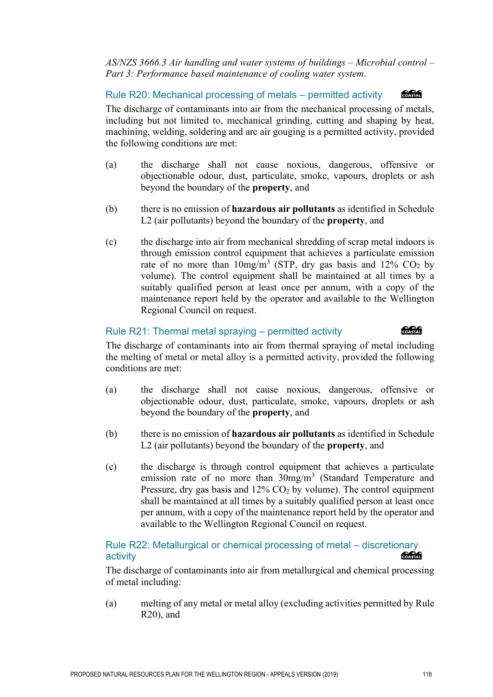*AS/NZS 3666.3 Air handling and water systems of buildings – Microbial control – Part 3: Performance based maintenance of cooling water system*.

#### COASTAL Rule R20: Mechanical processing of metals – permitted activity

The discharge of contaminants into air from the mechanical processing of metals, including but not limited to, mechanical grinding, cutting and shaping by heat, machining, welding, soldering and arc air gouging is a permitted activity, provided the following conditions are met:

- (a) the discharge shall not cause noxious, dangerous, offensive or objectionable odour, dust, particulate, smoke, vapours, droplets or ash beyond the boundary of the **property**, and
- (b) there is no emission of **hazardous air pollutants** as identified in Schedule L2 (air pollutants) beyond the boundary of the **property**, and
- (c) the discharge into air from mechanical shredding of scrap metal indoors is through emission control equipment that achieves a particulate emission rate of no more than  $10mg/m^3$  (STP, dry gas basis and 12% CO<sub>2</sub> by volume). The control equipment shall be maintained at all times by a suitably qualified person at least once per annum, with a copy of the maintenance report held by the operator and available to the Wellington Regional Council on request.

### Rule R21: Thermal metal spraying – permitted activity

**COASTAL** 

The discharge of contaminants into air from thermal spraying of metal including the melting of metal or metal alloy is a permitted activity, provided the following conditions are met:

- (a) the discharge shall not cause noxious, dangerous, offensive or objectionable odour, dust, particulate, smoke, vapours, droplets or ash beyond the boundary of the **property**, and
- (b) there is no emission of **hazardous air pollutants** as identified in Schedule L2 (air pollutants) beyond the boundary of the **property**, and
- (c) the discharge is through control equipment that achieves a particulate emission rate of no more than 30mg/m<sup>3</sup> (Standard Temperature and Pressure, dry gas basis and  $12\%$  CO<sub>2</sub> by volume). The control equipment shall be maintained at all times by a suitably qualified person at least once per annum, with a copy of the maintenance report held by the operator and available to the Wellington Regional Council on request.

Rule R22: Metallurgical or chemical processing of metal – discretionary activity

The discharge of contaminants into air from metallurgical and chemical processing of metal including:

(a) melting of any metal or metal alloy (excluding activities permitted by Rule R20), and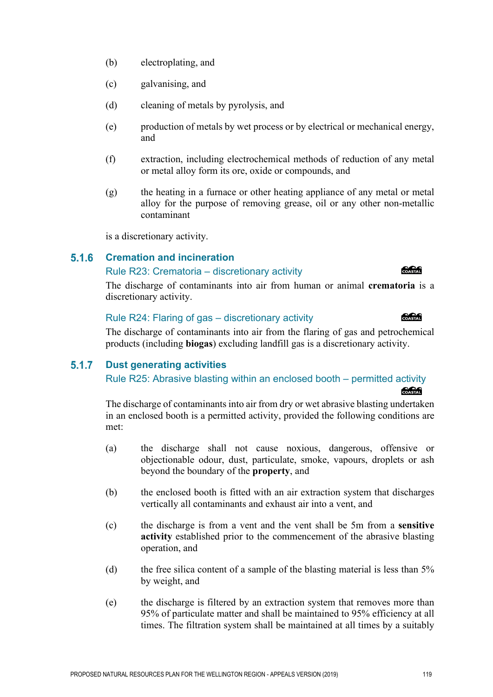- (b) electroplating, and
- (c) galvanising, and
- (d) cleaning of metals by pyrolysis, and
- (e) production of metals by wet process or by electrical or mechanical energy, and
- (f) extraction, including electrochemical methods of reduction of any metal or metal alloy form its ore, oxide or compounds, and
- (g) the heating in a furnace or other heating appliance of any metal or metal alloy for the purpose of removing grease, oil or any other non-metallic contaminant

is a discretionary activity.

#### $5.1.6$ **Cremation and incineration**

### Rule R23: Crematoria – discretionary activity

The discharge of contaminants into air from human or animal **crematoria** is a discretionary activity.

### Rule R24: Flaring of gas – discretionary activity

The discharge of contaminants into air from the flaring of gas and petrochemical products (including **biogas**) excluding landfill gas is a discretionary activity.

#### $5.1.7$ **Dust generating activities**

Rule R25: Abrasive blasting within an enclosed booth – permitted activity

### The discharge of contaminants into air from dry or wet abrasive blasting undertaken in an enclosed booth is a permitted activity, provided the following conditions are met:

- (a) the discharge shall not cause noxious, dangerous, offensive or objectionable odour, dust, particulate, smoke, vapours, droplets or ash beyond the boundary of the **property**, and
- (b) the enclosed booth is fitted with an air extraction system that discharges vertically all contaminants and exhaust air into a vent, and
- (c) the discharge is from a vent and the vent shall be 5m from a **sensitive activity** established prior to the commencement of the abrasive blasting operation, and
- (d) the free silica content of a sample of the blasting material is less than 5% by weight, and
- (e) the discharge is filtered by an extraction system that removes more than 95% of particulate matter and shall be maintained to 95% efficiency at all times. The filtration system shall be maintained at all times by a suitably

**Concept** 

**Concrete**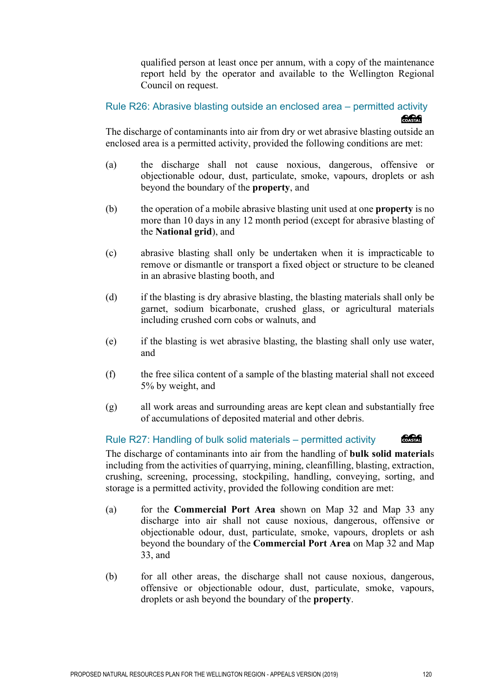qualified person at least once per annum, with a copy of the maintenance report held by the operator and available to the Wellington Regional Council on request.

Rule R26: Abrasive blasting outside an enclosed area – permitted activity COASTAL

The discharge of contaminants into air from dry or wet abrasive blasting outside an enclosed area is a permitted activity, provided the following conditions are met:

- (a) the discharge shall not cause noxious, dangerous, offensive or objectionable odour, dust, particulate, smoke, vapours, droplets or ash beyond the boundary of the **property**, and
- (b) the operation of a mobile abrasive blasting unit used at one **property** is no more than 10 days in any 12 month period (except for abrasive blasting of the **National grid**), and
- (c) abrasive blasting shall only be undertaken when it is impracticable to remove or dismantle or transport a fixed object or structure to be cleaned in an abrasive blasting booth, and
- (d) if the blasting is dry abrasive blasting, the blasting materials shall only be garnet, sodium bicarbonate, crushed glass, or agricultural materials including crushed corn cobs or walnuts, and
- (e) if the blasting is wet abrasive blasting, the blasting shall only use water, and
- (f) the free silica content of a sample of the blasting material shall not exceed 5% by weight, and
- (g) all work areas and surrounding areas are kept clean and substantially free of accumulations of deposited material and other debris.

### Rule R27: Handling of bulk solid materials – permitted activity

The discharge of contaminants into air from the handling of **bulk solid material**s including from the activities of quarrying, mining, cleanfilling, blasting, extraction, crushing, screening, processing, stockpiling, handling, conveying, sorting, and storage is a permitted activity, provided the following condition are met:

- (a) for the **Commercial Port Area** shown on Map 32 and Map 33 any discharge into air shall not cause noxious, dangerous, offensive or objectionable odour, dust, particulate, smoke, vapours, droplets or ash beyond the boundary of the **Commercial Port Area** on Map 32 and Map 33, and
- (b) for all other areas, the discharge shall not cause noxious, dangerous, offensive or objectionable odour, dust, particulate, smoke, vapours, droplets or ash beyond the boundary of the **property**.

COASTAL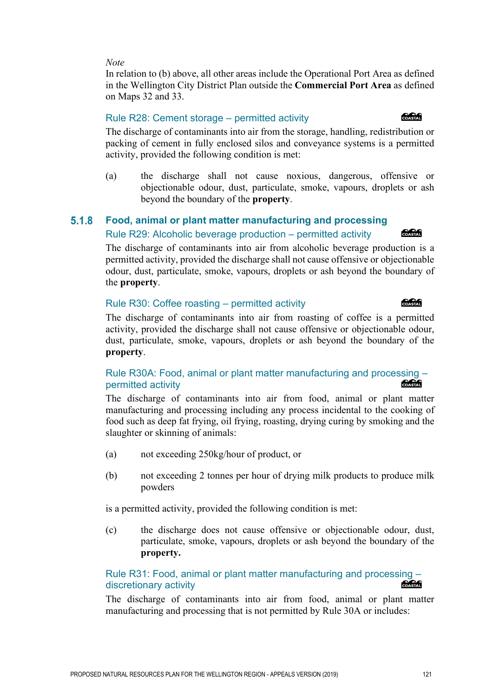In relation to (b) above, all other areas include the Operational Port Area as defined in the Wellington City District Plan outside the **Commercial Port Area** as defined on Maps 32 and 33.

### Rule R28: Cement storage – permitted activity

The discharge of contaminants into air from the storage, handling, redistribution or packing of cement in fully enclosed silos and conveyance systems is a permitted activity, provided the following condition is met:

(a) the discharge shall not cause noxious, dangerous, offensive or objectionable odour, dust, particulate, smoke, vapours, droplets or ash beyond the boundary of the **property**.

#### 5.1.8 **Food, animal or plant matter manufacturing and processing**

### Rule R29: Alcoholic beverage production – permitted activity

The discharge of contaminants into air from alcoholic beverage production is a permitted activity, provided the discharge shall not cause offensive or objectionable odour, dust, particulate, smoke, vapours, droplets or ash beyond the boundary of the **property**.

### Rule R30: Coffee roasting – permitted activity

The discharge of contaminants into air from roasting of coffee is a permitted activity, provided the discharge shall not cause offensive or objectionable odour, dust, particulate, smoke, vapours, droplets or ash beyond the boundary of the **property**.

### Rule R30A: Food, animal or plant matter manufacturing and processing – COASTAL permitted activity

The discharge of contaminants into air from food, animal or plant matter manufacturing and processing including any process incidental to the cooking of food such as deep fat frying, oil frying, roasting, drying curing by smoking and the slaughter or skinning of animals:

- (a) not exceeding 250kg/hour of product, or
- (b) not exceeding 2 tonnes per hour of drying milk products to produce milk powders

is a permitted activity, provided the following condition is met:

(c) the discharge does not cause offensive or objectionable odour, dust, particulate, smoke, vapours, droplets or ash beyond the boundary of the **property.**

### Rule R31: Food, animal or plant matter manufacturing and processing – discretionary activity

The discharge of contaminants into air from food, animal or plant matter manufacturing and processing that is not permitted by Rule 30A or includes:

### **COASTAL**

*<u> SSSSS</u>* 

### **Concrete**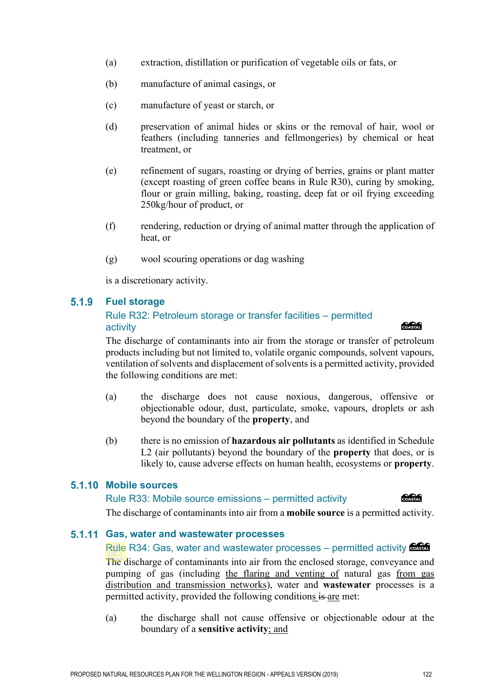- (a) extraction, distillation or purification of vegetable oils or fats, or
- (b) manufacture of animal casings, or
- (c) manufacture of yeast or starch, or
- (d) preservation of animal hides or skins or the removal of hair, wool or feathers (including tanneries and fellmongeries) by chemical or heat treatment, or
- (e) refinement of sugars, roasting or drying of berries, grains or plant matter (except roasting of green coffee beans in Rule R30), curing by smoking, flour or grain milling, baking, roasting, deep fat or oil frying exceeding 250kg/hour of product, or
- (f) rendering, reduction or drying of animal matter through the application of heat, or
- (g) wool scouring operations or dag washing

is a discretionary activity.

#### $5.1.9$ **Fuel storage**

### Rule R32: Petroleum storage or transfer facilities – permitted activity

The discharge of contaminants into air from the storage or transfer of petroleum products including but not limited to, volatile organic compounds, solvent vapours, ventilation of solvents and displacement of solvents is a permitted activity, provided the following conditions are met:

- (a) the discharge does not cause noxious, dangerous, offensive or objectionable odour, dust, particulate, smoke, vapours, droplets or ash beyond the boundary of the **property**, and
- (b) there is no emission of **hazardous air pollutants** as identified in Schedule L2 (air pollutants) beyond the boundary of the **property** that does, or is likely to, cause adverse effects on human health, ecosystems or **property**.

### **5.1.10 Mobile sources**

### Rule R33: Mobile source emissions – permitted activity

COASTAL

The discharge of contaminants into air from a **mobile source** is a permitted activity.

### **Gas, water and wastewater processes**

### Rule R34: Gas, water and wastewater processes – permitted activity  $\circ$

The discharge of contaminants into air from the enclosed storage, conveyance and pumping of gas (including the flaring and venting of natural gas from gas distribution and transmission networks), water and **wastewater** processes is a permitted activity, provided the following conditions is are met:

(a) the discharge shall not cause offensive or objectionable odour at the boundary of a **sensitive activity**; and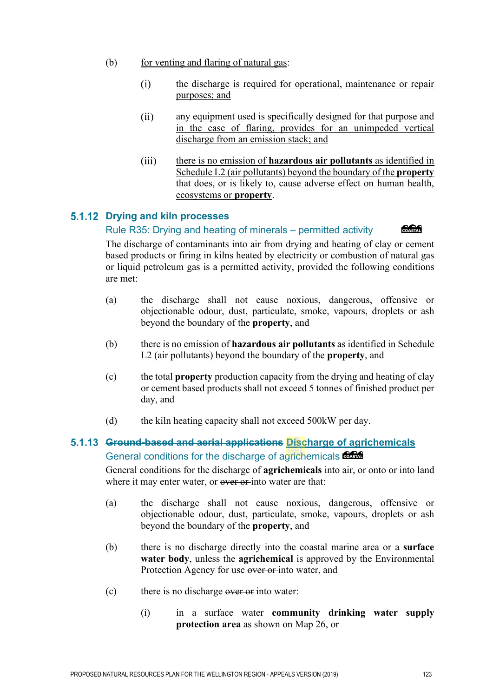- (b) for venting and flaring of natural gas:
	- the discharge is required for operational, maintenance or repair  $(i)$ purposes; and
	- $(ii)$ any equipment used is specifically designed for that purpose and in the case of flaring, provides for an unimpeded vertical discharge from an emission stack; and
	- $(iii)$ there is no emission of **hazardous air pollutants** as identified in Schedule L2 (air pollutants) beyond the boundary of the **property** that does, or is likely to, cause adverse effect on human health, ecosystems or **property**.

### **Drying and kiln processes**

#### COASTAL Rule R35: Drying and heating of minerals – permitted activity

The discharge of contaminants into air from drying and heating of clay or cement based products or firing in kilns heated by electricity or combustion of natural gas or liquid petroleum gas is a permitted activity, provided the following conditions are met:

- (a) the discharge shall not cause noxious, dangerous, offensive or objectionable odour, dust, particulate, smoke, vapours, droplets or ash beyond the boundary of the **property**, and
- (b) there is no emission of **hazardous air pollutants** as identified in Schedule L2 (air pollutants) beyond the boundary of the **property**, and
- (c) the total **property** production capacity from the drying and heating of clay or cement based products shall not exceed 5 tonnes of finished product per day, and
- (d) the kiln heating capacity shall not exceed 500kW per day.

### **Ground-based and aerial applications Discharge of agrichemicals** General conditions for the discharge of agrichemicals  $\frac{6.666}{6.0666}$

General conditions for the discharge of **agrichemicals** into air, or onto or into land where it may enter water, or over or into water are that:

- (a) the discharge shall not cause noxious, dangerous, offensive or objectionable odour, dust, particulate, smoke, vapours, droplets or ash beyond the boundary of the **property**, and
- (b) there is no discharge directly into the coastal marine area or a **surface water body**, unless the **agrichemical** is approved by the Environmental Protection Agency for use over or into water, and
- $(c)$  there is no discharge over or into water:
	- (i) in a surface water **community drinking water supply protection area** as shown on Map 26, or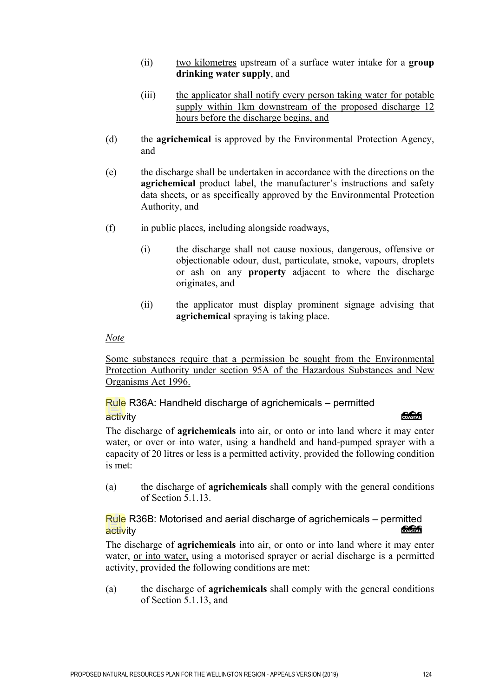- (ii) two kilometres upstream of a surface water intake for a **group drinking water supply**, and
- (iii) the applicator shall notify every person taking water for potable supply within 1km downstream of the proposed discharge 12 hours before the discharge begins, and
- (d) the **agrichemical** is approved by the Environmental Protection Agency, and
- (e) the discharge shall be undertaken in accordance with the directions on the **agrichemical** product label, the manufacturer's instructions and safety data sheets, or as specifically approved by the Environmental Protection Authority, and
- (f) in public places, including alongside roadways,
	- (i) the discharge shall not cause noxious, dangerous, offensive or objectionable odour, dust, particulate, smoke, vapours, droplets or ash on any **property** adjacent to where the discharge originates, and
	- (ii) the applicator must display prominent signage advising that **agrichemical** spraying is taking place.

Some substances require that a permission be sought from the Environmental Protection Authority under section 95A of the Hazardous Substances and New Organisms Act 1996.

Rule R36A: Handheld discharge of agrichemicals – permitted

### activity

### **COASTAL**

The discharge of **agrichemicals** into air, or onto or into land where it may enter water, or over or into water, using a handheld and hand-pumped sprayer with a capacity of 20 litres or less is a permitted activity, provided the following condition is met:

(a) the discharge of **agrichemicals** shall comply with the general conditions of Section 5.1.13.

### Rule R36B: Motorised and aerial discharge of agrichemicals – permitted activity

The discharge of **agrichemicals** into air, or onto or into land where it may enter water, or into water, using a motorised sprayer or aerial discharge is a permitted activity, provided the following conditions are met:

(a) the discharge of **agrichemicals** shall comply with the general conditions of Section 5.1.13, and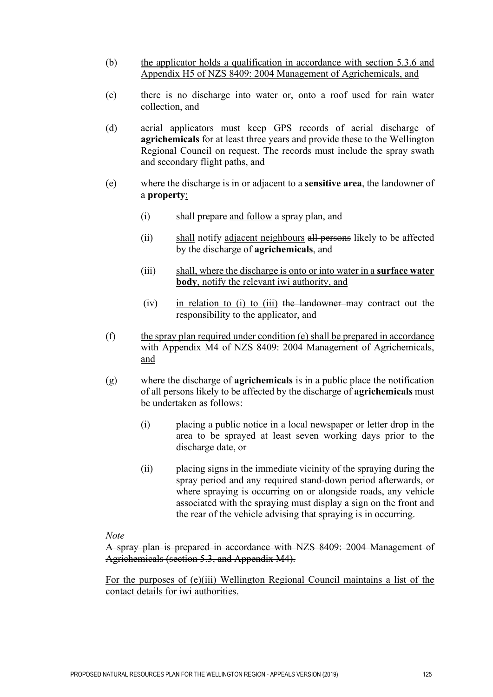- (b) the applicator holds a qualification in accordance with section 5.3.6 and Appendix H5 of NZS 8409: 2004 Management of Agrichemicals, and
- (c) there is no discharge into water or, onto a roof used for rain water collection, and
- (d) aerial applicators must keep GPS records of aerial discharge of **agrichemicals** for at least three years and provide these to the Wellington Regional Council on request. The records must include the spray swath and secondary flight paths, and
- (e) where the discharge is in or adjacent to a **sensitive area**, the landowner of a **property**:
	- (i) shall prepare and follow a spray plan, and
	- (ii) shall notify adjacent neighbours all persons likely to be affected by the discharge of **agrichemicals**, and
	- (iii) shall, where the discharge is onto or into water in a **surface water body**, notify the relevant iwi authority, and
	- $(iv)$  in relation to (i) to (iii) the landowner may contract out the responsibility to the applicator, and
- $(f)$  the spray plan required under condition  $(e)$  shall be prepared in accordance with Appendix M4 of NZS 8409: 2004 Management of Agrichemicals, and
- (g) where the discharge of **agrichemicals** is in a public place the notification of all persons likely to be affected by the discharge of **agrichemicals** must be undertaken as follows:
	- (i) placing a public notice in a local newspaper or letter drop in the area to be sprayed at least seven working days prior to the discharge date, or
	- (ii) placing signs in the immediate vicinity of the spraying during the spray period and any required stand-down period afterwards, or where spraying is occurring on or alongside roads, any vehicle associated with the spraying must display a sign on the front and the rear of the vehicle advising that spraying is in occurring.

A spray plan is prepared in accordance with NZS 8409: 2004 Management of Agrichemicals (section 5.3, and Appendix M4).

For the purposes of (e)(iii) Wellington Regional Council maintains a list of the contact details for iwi authorities.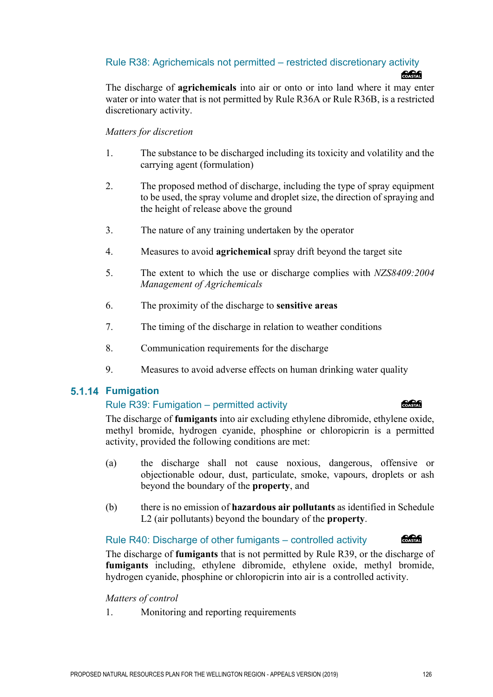### Rule R38: Agrichemicals not permitted – restricted discretionary activity *<u> 2000 - 2000 - 2000 - 2000 - 2000 - 2000 - 2000 - 2000 - 2000 - 2000 - 2000 - 2000 - 2000 - 2000 - 2000 - 2000 - 2000 - 2000 - 2000 - 2000 - 2000 - 2000 - 2000 - 2000 - 2000 - 2000 - 2000 - 2000 - 2000 - 2000 - 2000 - 2*</u>

The discharge of **agrichemicals** into air or onto or into land where it may enter water or into water that is not permitted by Rule R36A or Rule R36B, is a restricted discretionary activity.

### *Matters for discretion*

- 1. The substance to be discharged including its toxicity and volatility and the carrying agent (formulation)
- 2. The proposed method of discharge, including the type of spray equipment to be used, the spray volume and droplet size, the direction of spraying and the height of release above the ground
- 3. The nature of any training undertaken by the operator
- 4. Measures to avoid **agrichemical** spray drift beyond the target site
- 5. The extent to which the use or discharge complies with *NZS8409:2004 Management of Agrichemicals*
- 6. The proximity of the discharge to **sensitive areas**
- 7. The timing of the discharge in relation to weather conditions
- 8. Communication requirements for the discharge
- 9. Measures to avoid adverse effects on human drinking water quality

### **5.1.14 Fumigation**

### Rule R39: Fumigation – permitted activity

The discharge of **fumigants** into air excluding ethylene dibromide, ethylene oxide, methyl bromide, hydrogen cyanide, phosphine or chloropicrin is a permitted activity, provided the following conditions are met:

- (a) the discharge shall not cause noxious, dangerous, offensive or objectionable odour, dust, particulate, smoke, vapours, droplets or ash beyond the boundary of the **property**, and
- (b) there is no emission of **hazardous air pollutants** as identified in Schedule L2 (air pollutants) beyond the boundary of the **property**.

### Rule R40: Discharge of other fumigants – controlled activity

The discharge of **fumigants** that is not permitted by Rule R39, or the discharge of **fumigants** including, ethylene dibromide, ethylene oxide, methyl bromide, hydrogen cyanide, phosphine or chloropicrin into air is a controlled activity.

*Matters of control* 

1. Monitoring and reporting requirements



### **COASTAL**